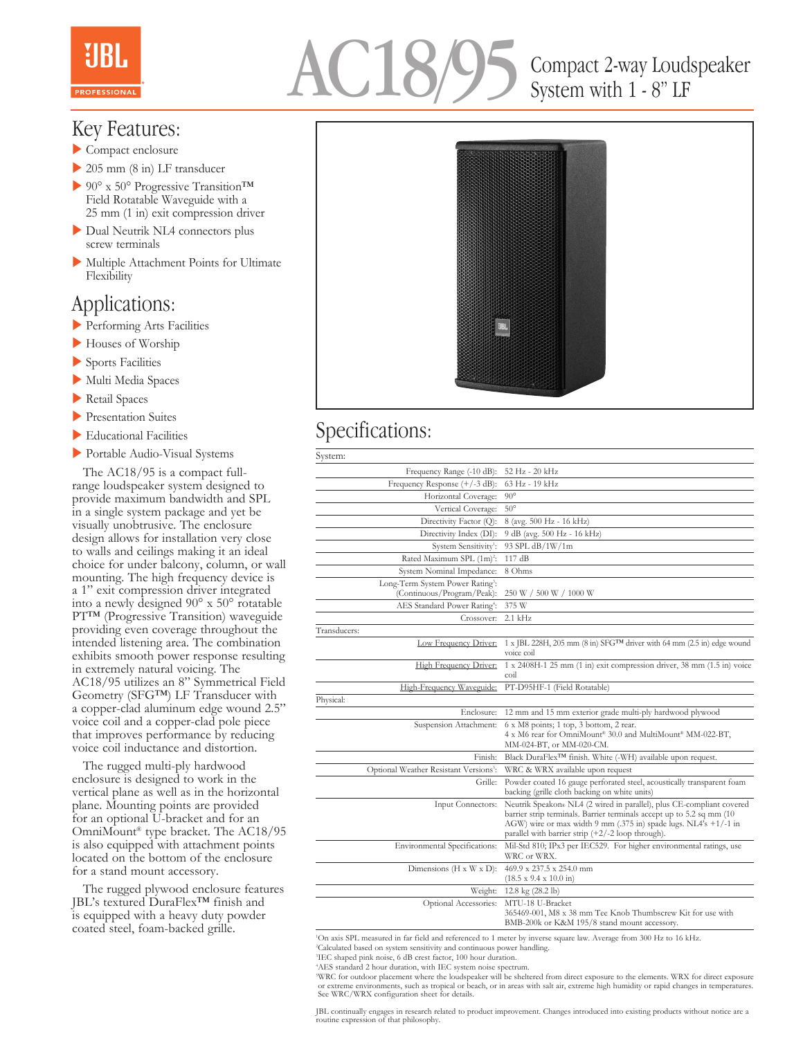

# AC18/95

## Compact 2-way Loudspeaker System with 1 - 8" LF

#### Key Features:

- $\blacktriangleright$  Compact enclosure
- $\geq$  205 mm (8 in) LF transducer
- $\triangleright$  90° x 50° Progressive Transition<sup>TM</sup> Field Rotatable Waveguide with a 25 mm (1 in) exit compression driver
- Dual Neutrik NL4 connectors plus screw terminals
- $\blacktriangleright$  Multiple Attachment Points for Ultimate Flexibility

#### Applications:

- **Performing Arts Facilities**
- Houses of Worship
- $\blacktriangleright$  Sports Facilities
- Multi Media Spaces
- $\blacktriangleright$  Retail Spaces
- **Presentation Suites**
- $\blacktriangleright$  Educational Facilities
- **Portable Audio-Visual Systems**

 The AC18/95 is a compact fullrange loudspeaker system designed to provide maximum bandwidth and SPL in a single system package and yet be visually unobtrusive. The enclosure design allows for installation very close to walls and ceilings making it an ideal choice for under balcony, column, or wall mounting. The high frequency device is a 1" exit compression driver integrated into a newly designed 90° x 50° rotatable PT™ (Progressive Transition) waveguide providing even coverage throughout the intended listening area. The combination exhibits smooth power response resulting in extremely natural voicing. The AC18/95 utilizes an 8" Symmetrical Field Geometry (SFG™) LF Transducer with a copper-clad aluminum edge wound 2.5" voice coil and a copper-clad pole piece that improves performance by reducing voice coil inductance and distortion.

 The rugged multi-ply hardwood enclosure is designed to work in the vertical plane as well as in the horizontal plane. Mounting points are provided for an optional U-bracket and for an OmniMount® type bracket. The AC18/95 is also equipped with attachment points located on the bottom of the enclosure for a stand mount accessory.

 The rugged plywood enclosure features JBL's textured DuraFlex™ finish and is equipped with a heavy duty powder coated steel, foam-backed grille.



### Specifications:

| System:                                                                    |                                                                                                                                                                                                                                                                            |
|----------------------------------------------------------------------------|----------------------------------------------------------------------------------------------------------------------------------------------------------------------------------------------------------------------------------------------------------------------------|
| Frequency Range (-10 dB):                                                  | 52 Hz - 20 kHz                                                                                                                                                                                                                                                             |
| Frequency Response (+/-3 dB):                                              | 63 Hz - 19 kHz                                                                                                                                                                                                                                                             |
| Horizontal Coverage:                                                       | $90^{\circ}$                                                                                                                                                                                                                                                               |
| Vertical Coverage:                                                         | $50^{\circ}$                                                                                                                                                                                                                                                               |
| Directivity Factor (Q):                                                    | 8 (avg. 500 Hz - 16 kHz)                                                                                                                                                                                                                                                   |
| Directivity Index (DI):                                                    | 9 dB (avg. 500 Hz - 16 kHz)                                                                                                                                                                                                                                                |
| System Sensitivity <sup>1</sup> :                                          | 93 SPL dB/1W/1m                                                                                                                                                                                                                                                            |
| Rated Maximum SPL (1m) <sup>2</sup> :                                      | 117dB                                                                                                                                                                                                                                                                      |
| System Nominal Impedance:                                                  | 8 Ohms                                                                                                                                                                                                                                                                     |
| Long-Term System Power Rating <sup>3</sup> :<br>(Continuous/Program/Peak): | 250 W / 500 W / 1000 W                                                                                                                                                                                                                                                     |
| AES Standard Power Rating <sup>4</sup> :                                   | 375 W                                                                                                                                                                                                                                                                      |
| Crossover:                                                                 | $2.1$ kHz                                                                                                                                                                                                                                                                  |
| Transducers:                                                               |                                                                                                                                                                                                                                                                            |
| <b>Low Frequency Driver:</b>                                               | 1 x JBL 228H, 205 mm (8 in) SFG <sup>TM</sup> driver with 64 mm (2.5 in) edge wound<br>voice coil                                                                                                                                                                          |
| High Frequency Driver:                                                     | 1 x 2408H-1 25 mm (1 in) exit compression driver, 38 mm (1.5 in) voice<br>coil                                                                                                                                                                                             |
| High-Frequency Waveguide:                                                  | PT-D95HF-1 (Field Rotatable)                                                                                                                                                                                                                                               |
| Physical:                                                                  |                                                                                                                                                                                                                                                                            |
| Enclosure:                                                                 | 12 mm and 15 mm exterior grade multi-ply hardwood plywood                                                                                                                                                                                                                  |
| Suspension Attachment:                                                     | 6 x M8 points; 1 top, 3 bottom, 2 rear.<br>4 x M6 rear for OmniMount® 30.0 and MultiMount® MM-022-BT,<br>MM-024-BT, or MM-020-CM.                                                                                                                                          |
| Finish:                                                                    | Black DuraFlex <sup>TM</sup> finish. White (-WH) available upon request.                                                                                                                                                                                                   |
| Optional Weather Resistant Versions <sup>5</sup> :                         | WRC & WRX available upon request                                                                                                                                                                                                                                           |
| Grille:                                                                    | Powder coated 16 gauge perforated steel, acoustically transparent foam<br>backing (grille cloth backing on white units)                                                                                                                                                    |
| Input Connectors:                                                          | Neutrik Speakon® NL4 (2 wired in parallel), plus CE-compliant covered<br>barrier strip terminals. Barrier terminals accept up to 5.2 sq mm (10)<br>AGW) wire or max width 9 mm (.375 in) spade lugs. NL4's +1/-1 in<br>parallel with barrier strip $(+2/-2$ loop through). |
| Environmental Specifications:                                              | Mil-Std 810; IPx3 per IEC529. For higher environmental ratings, use<br>WRC or WRX.                                                                                                                                                                                         |
| Dimensions ( $H \times W \times D$ ):                                      | 469.9 x 237.5 x 254.0 mm<br>$(18.5 \times 9.4 \times 10.0 \text{ in})$                                                                                                                                                                                                     |
| Weight:                                                                    | 12.8 kg (28.2 lb)                                                                                                                                                                                                                                                          |
| Optional Accessories:                                                      | MTU-18 U-Bracket<br>365469-001, M8 x 38 mm Tee Knob Thumbscrew Kit for use with<br>BMB-200k or K&M 195/8 stand mount accessory.                                                                                                                                            |

1 On axis SPL measured in far field and referenced to 1 meter by inverse square law. Average from 300 Hz to 16 kHz. 2 Calculated based on system sensitivity and continuous power handling.

<sup>4</sup>WRC for outdoor placement where the loudspeaker will be sheltered from direct exposure to the elements. WRX for direct exposure or extreme environments, such as tropical or beat or extreme environments, such as tropical

JBL continually engages in research related to product improvement. Changes introduced into existing products without notice are a routine expression of that philosophy.

<sup>3</sup> IEC shaped pink noise, 6 dB crest factor, 100 hour duration.

<sup>4</sup> AES standard 2 hour duration, with IEC system noise spectrum.